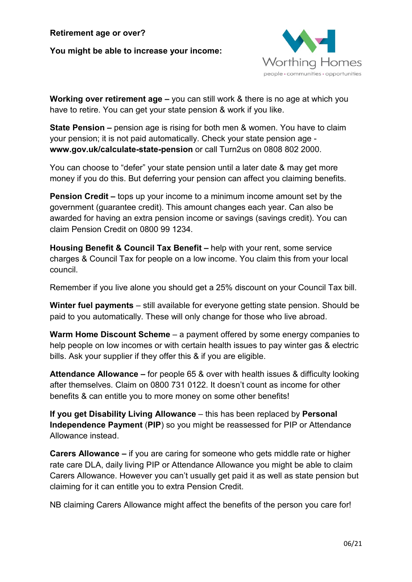**You might be able to increase your income:**



**Working over retirement age –** you can still work & there is no age at which you have to retire. You can get your state pension & work if you like.

**State Pension –** pension age is rising for both men & women. You have to claim your pension; it is not paid automatically. Check your state pension age **www.gov.uk/calculate-state-pension** or call Turn2us on 0808 802 2000.

You can choose to "defer" your state pension until a later date & may get more money if you do this. But deferring your pension can affect you claiming benefits.

**Pension Credit –** tops up your income to a minimum income amount set by the government (guarantee credit). This amount changes each year. Can also be awarded for having an extra pension income or savings (savings credit). You can claim Pension Credit on 0800 99 1234.

**Housing Benefit & Council Tax Benefit –** help with your rent, some service charges & Council Tax for people on a low income. You claim this from your local council.

Remember if you live alone you should get a 25% discount on your Council Tax bill.

**Winter fuel payments** – still available for everyone getting state pension. Should be paid to you automatically. These will only change for those who live abroad.

**Warm Home Discount Scheme** – a payment offered by some energy companies to help people on low incomes or with certain health issues to pay winter gas & electric bills. Ask your supplier if they offer this & if you are eligible.

**Attendance Allowance –** for people 65 & over with health issues & difficulty looking after themselves. Claim on 0800 731 0122. It doesn't count as income for other benefits & can entitle you to more money on some other benefits!

**If you get Disability Living Allowance** – this has been replaced by **Personal Independence Payment** (**PIP**) so you might be reassessed for PIP or Attendance Allowance instead.

**Carers Allowance –** if you are caring for someone who gets middle rate or higher rate care DLA, daily living PIP or Attendance Allowance you might be able to claim Carers Allowance. However you can't usually get paid it as well as state pension but claiming for it can entitle you to extra Pension Credit.

NB claiming Carers Allowance might affect the benefits of the person you care for!